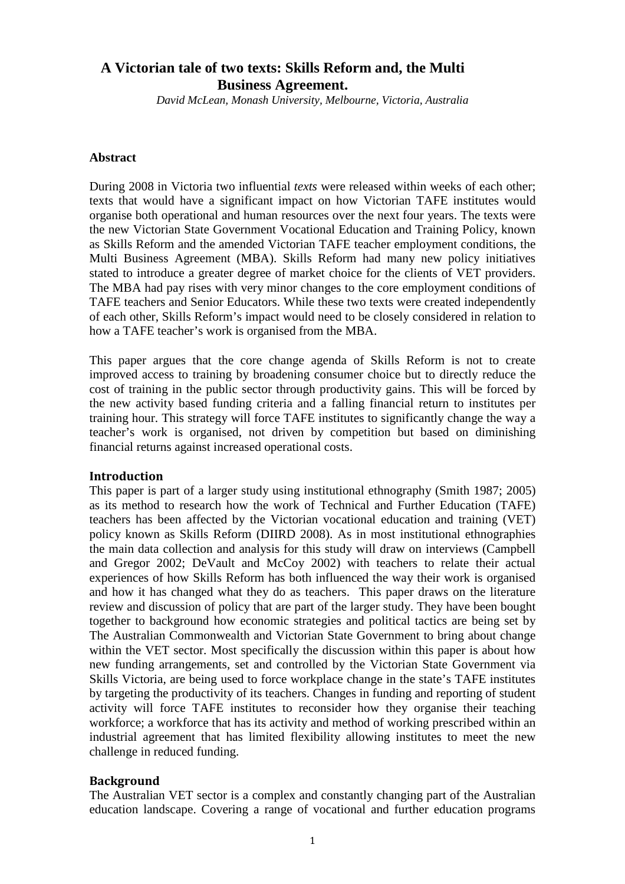# **A Victorian tale of two texts: Skills Reform and, the Multi Business Agreement.**

*David McLean, Monash University, Melbourne, Victoria, Australia* 

#### **Abstract**

During 2008 in Victoria two influential *texts* were released within weeks of each other; texts that would have a significant impact on how Victorian TAFE institutes would organise both operational and human resources over the next four years. The texts were the new Victorian State Government Vocational Education and Training Policy, known as Skills Reform and the amended Victorian TAFE teacher employment conditions, the Multi Business Agreement (MBA). Skills Reform had many new policy initiatives stated to introduce a greater degree of market choice for the clients of VET providers. The MBA had pay rises with very minor changes to the core employment conditions of TAFE teachers and Senior Educators. While these two texts were created independently of each other, Skills Reform's impact would need to be closely considered in relation to how a TAFE teacher's work is organised from the MBA.

This paper argues that the core change agenda of Skills Reform is not to create improved access to training by broadening consumer choice but to directly reduce the cost of training in the public sector through productivity gains. This will be forced by the new activity based funding criteria and a falling financial return to institutes per training hour. This strategy will force TAFE institutes to significantly change the way a teacher's work is organised, not driven by competition but based on diminishing financial returns against increased operational costs.

# Introduction

This paper is part of a larger study using institutional ethnography (Smith 1987; 2005) as its method to research how the work of Technical and Further Education (TAFE) teachers has been affected by the Victorian vocational education and training (VET) policy known as Skills Reform (DIIRD 2008). As in most institutional ethnographies the main data collection and analysis for this study will draw on interviews (Campbell and Gregor 2002; DeVault and McCoy 2002) with teachers to relate their actual experiences of how Skills Reform has both influenced the way their work is organised and how it has changed what they do as teachers. This paper draws on the literature review and discussion of policy that are part of the larger study. They have been bought together to background how economic strategies and political tactics are being set by The Australian Commonwealth and Victorian State Government to bring about change within the VET sector. Most specifically the discussion within this paper is about how new funding arrangements, set and controlled by the Victorian State Government via Skills Victoria, are being used to force workplace change in the state's TAFE institutes by targeting the productivity of its teachers. Changes in funding and reporting of student activity will force TAFE institutes to reconsider how they organise their teaching workforce; a workforce that has its activity and method of working prescribed within an industrial agreement that has limited flexibility allowing institutes to meet the new challenge in reduced funding.

# **Background**

The Australian VET sector is a complex and constantly changing part of the Australian education landscape. Covering a range of vocational and further education programs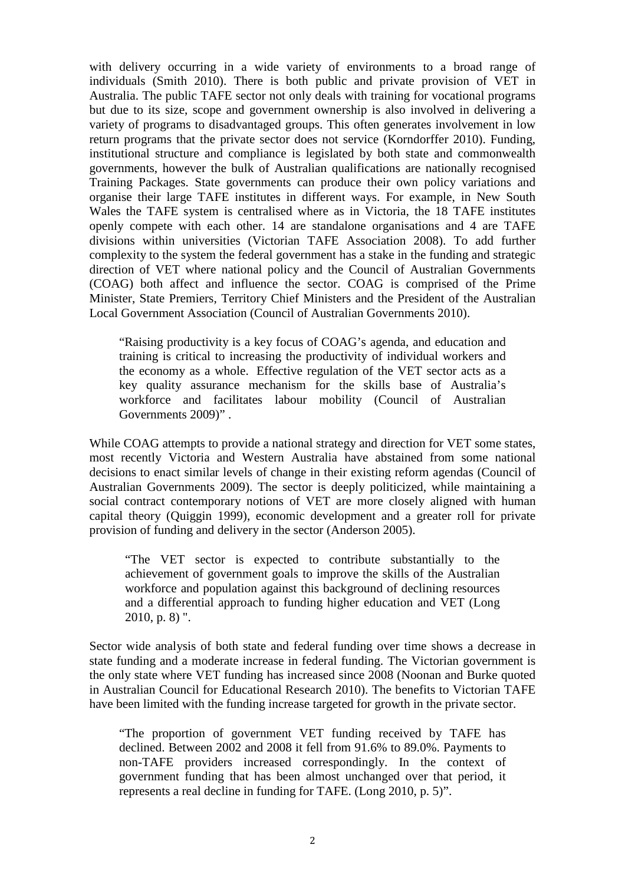with delivery occurring in a wide variety of environments to a broad range of individuals (Smith 2010). There is both public and private provision of VET in Australia. The public TAFE sector not only deals with training for vocational programs but due to its size, scope and government ownership is also involved in delivering a variety of programs to disadvantaged groups. This often generates involvement in low return programs that the private sector does not service (Korndorffer 2010). Funding, institutional structure and compliance is legislated by both state and commonwealth governments, however the bulk of Australian qualifications are nationally recognised Training Packages. State governments can produce their own policy variations and organise their large TAFE institutes in different ways. For example, in New South Wales the TAFE system is centralised where as in Victoria, the 18 TAFE institutes openly compete with each other. 14 are standalone organisations and 4 are TAFE divisions within universities (Victorian TAFE Association 2008). To add further complexity to the system the federal government has a stake in the funding and strategic direction of VET where national policy and the Council of Australian Governments (COAG) both affect and influence the sector. COAG is comprised of the Prime Minister, State Premiers, Territory Chief Ministers and the President of the Australian Local Government Association (Council of Australian Governments 2010).

"Raising productivity is a key focus of COAG's agenda, and education and training is critical to increasing the productivity of individual workers and the economy as a whole. Effective regulation of the VET sector acts as a key quality assurance mechanism for the skills base of Australia's workforce and facilitates labour mobility (Council of Australian Governments 2009)" .

While COAG attempts to provide a national strategy and direction for VET some states, most recently Victoria and Western Australia have abstained from some national decisions to enact similar levels of change in their existing reform agendas (Council of Australian Governments 2009). The sector is deeply politicized, while maintaining a social contract contemporary notions of VET are more closely aligned with human capital theory (Quiggin 1999), economic development and a greater roll for private provision of funding and delivery in the sector (Anderson 2005).

"The VET sector is expected to contribute substantially to the achievement of government goals to improve the skills of the Australian workforce and population against this background of declining resources and a differential approach to funding higher education and VET (Long 2010, p. 8) ".

Sector wide analysis of both state and federal funding over time shows a decrease in state funding and a moderate increase in federal funding. The Victorian government is the only state where VET funding has increased since 2008 (Noonan and Burke quoted in Australian Council for Educational Research 2010). The benefits to Victorian TAFE have been limited with the funding increase targeted for growth in the private sector.

"The proportion of government VET funding received by TAFE has declined. Between 2002 and 2008 it fell from 91.6% to 89.0%. Payments to non-TAFE providers increased correspondingly. In the context of government funding that has been almost unchanged over that period, it represents a real decline in funding for TAFE. (Long 2010, p. 5)".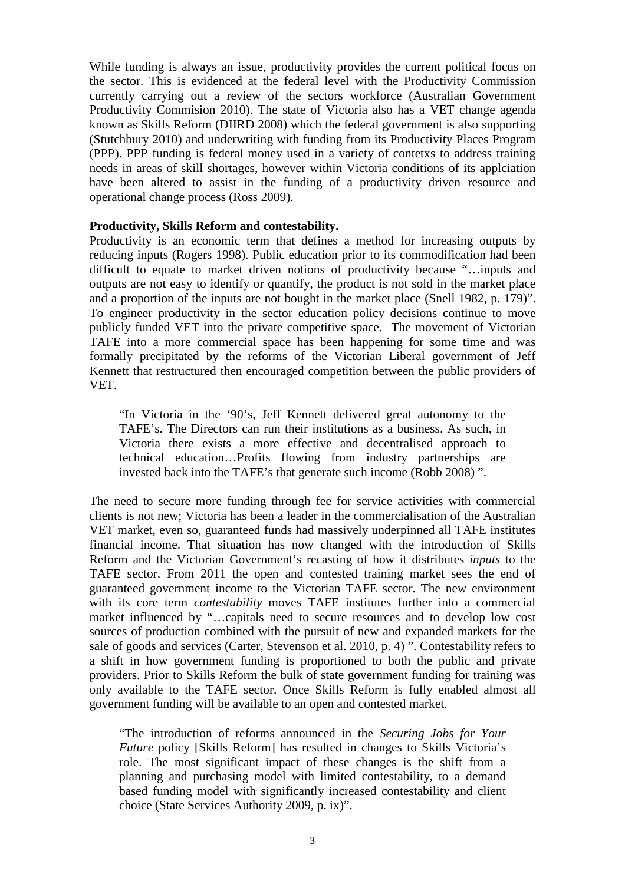While funding is always an issue, productivity provides the current political focus on the sector. This is evidenced at the federal level with the Productivity Commission currently carrying out a review of the sectors workforce (Australian Government Productivity Commision 2010). The state of Victoria also has a VET change agenda known as Skills Reform (DIIRD 2008) which the federal government is also supporting (Stutchbury 2010) and underwriting with funding from its Productivity Places Program (PPP). PPP funding is federal money used in a variety of contetxs to address training needs in areas of skill shortages, however within Victoria conditions of its applciation have been altered to assist in the funding of a productivity driven resource and operational change process (Ross 2009).

#### **Productivity, Skills Reform and contestability.**

Productivity is an economic term that defines a method for increasing outputs by reducing inputs (Rogers 1998). Public education prior to its commodification had been difficult to equate to market driven notions of productivity because "…inputs and outputs are not easy to identify or quantify, the product is not sold in the market place and a proportion of the inputs are not bought in the market place (Snell 1982, p. 179)". To engineer productivity in the sector education policy decisions continue to move publicly funded VET into the private competitive space. The movement of Victorian TAFE into a more commercial space has been happening for some time and was formally precipitated by the reforms of the Victorian Liberal government of Jeff Kennett that restructured then encouraged competition between the public providers of VET.

"In Victoria in the '90's, Jeff Kennett delivered great autonomy to the TAFE's. The Directors can run their institutions as a business. As such, in Victoria there exists a more effective and decentralised approach to technical education…Profits flowing from industry partnerships are invested back into the TAFE's that generate such income (Robb 2008) ".

The need to secure more funding through fee for service activities with commercial clients is not new; Victoria has been a leader in the commercialisation of the Australian VET market, even so, guaranteed funds had massively underpinned all TAFE institutes financial income. That situation has now changed with the introduction of Skills Reform and the Victorian Government's recasting of how it distributes *inputs* to the TAFE sector. From 2011 the open and contested training market sees the end of guaranteed government income to the Victorian TAFE sector. The new environment with its core term *contestability* moves TAFE institutes further into a commercial market influenced by "…capitals need to secure resources and to develop low cost sources of production combined with the pursuit of new and expanded markets for the sale of goods and services (Carter, Stevenson et al. 2010, p. 4) ". Contestability refers to a shift in how government funding is proportioned to both the public and private providers. Prior to Skills Reform the bulk of state government funding for training was only available to the TAFE sector. Once Skills Reform is fully enabled almost all government funding will be available to an open and contested market.

"The introduction of reforms announced in the *Securing Jobs for Your Future* policy [Skills Reform] has resulted in changes to Skills Victoria's role. The most significant impact of these changes is the shift from a planning and purchasing model with limited contestability, to a demand based funding model with significantly increased contestability and client choice (State Services Authority 2009, p. ix)".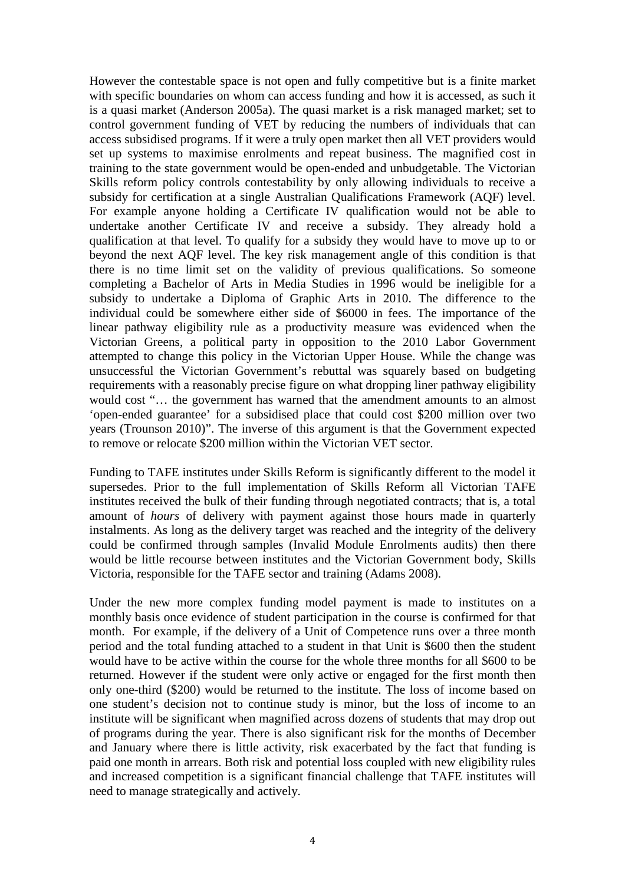However the contestable space is not open and fully competitive but is a finite market with specific boundaries on whom can access funding and how it is accessed, as such it is a quasi market (Anderson 2005a). The quasi market is a risk managed market; set to control government funding of VET by reducing the numbers of individuals that can access subsidised programs. If it were a truly open market then all VET providers would set up systems to maximise enrolments and repeat business. The magnified cost in training to the state government would be open-ended and unbudgetable. The Victorian Skills reform policy controls contestability by only allowing individuals to receive a subsidy for certification at a single Australian Qualifications Framework (AQF) level. For example anyone holding a Certificate IV qualification would not be able to undertake another Certificate IV and receive a subsidy. They already hold a qualification at that level. To qualify for a subsidy they would have to move up to or beyond the next AQF level. The key risk management angle of this condition is that there is no time limit set on the validity of previous qualifications. So someone completing a Bachelor of Arts in Media Studies in 1996 would be ineligible for a subsidy to undertake a Diploma of Graphic Arts in 2010. The difference to the individual could be somewhere either side of \$6000 in fees. The importance of the linear pathway eligibility rule as a productivity measure was evidenced when the Victorian Greens, a political party in opposition to the 2010 Labor Government attempted to change this policy in the Victorian Upper House. While the change was unsuccessful the Victorian Government's rebuttal was squarely based on budgeting requirements with a reasonably precise figure on what dropping liner pathway eligibility would cost "... the government has warned that the amendment amounts to an almost 'open-ended guarantee' for a subsidised place that could cost \$200 million over two years (Trounson 2010)". The inverse of this argument is that the Government expected to remove or relocate \$200 million within the Victorian VET sector.

Funding to TAFE institutes under Skills Reform is significantly different to the model it supersedes. Prior to the full implementation of Skills Reform all Victorian TAFE institutes received the bulk of their funding through negotiated contracts; that is, a total amount of *hours* of delivery with payment against those hours made in quarterly instalments. As long as the delivery target was reached and the integrity of the delivery could be confirmed through samples (Invalid Module Enrolments audits) then there would be little recourse between institutes and the Victorian Government body, Skills Victoria, responsible for the TAFE sector and training (Adams 2008).

Under the new more complex funding model payment is made to institutes on a monthly basis once evidence of student participation in the course is confirmed for that month. For example, if the delivery of a Unit of Competence runs over a three month period and the total funding attached to a student in that Unit is \$600 then the student would have to be active within the course for the whole three months for all \$600 to be returned. However if the student were only active or engaged for the first month then only one-third (\$200) would be returned to the institute. The loss of income based on one student's decision not to continue study is minor, but the loss of income to an institute will be significant when magnified across dozens of students that may drop out of programs during the year. There is also significant risk for the months of December and January where there is little activity, risk exacerbated by the fact that funding is paid one month in arrears. Both risk and potential loss coupled with new eligibility rules and increased competition is a significant financial challenge that TAFE institutes will need to manage strategically and actively.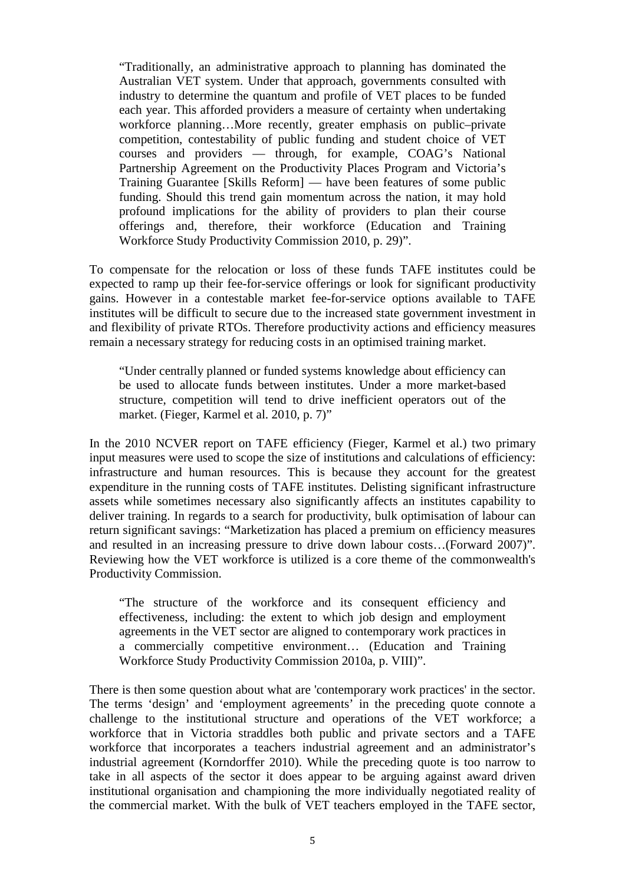"Traditionally, an administrative approach to planning has dominated the Australian VET system. Under that approach, governments consulted with industry to determine the quantum and profile of VET places to be funded each year. This afforded providers a measure of certainty when undertaking workforce planning…More recently, greater emphasis on public–private competition, contestability of public funding and student choice of VET courses and providers — through, for example, COAG's National Partnership Agreement on the Productivity Places Program and Victoria's Training Guarantee [Skills Reform] — have been features of some public funding. Should this trend gain momentum across the nation, it may hold profound implications for the ability of providers to plan their course offerings and, therefore, their workforce (Education and Training Workforce Study Productivity Commission 2010, p. 29)".

To compensate for the relocation or loss of these funds TAFE institutes could be expected to ramp up their fee-for-service offerings or look for significant productivity gains. However in a contestable market fee-for-service options available to TAFE institutes will be difficult to secure due to the increased state government investment in and flexibility of private RTOs. Therefore productivity actions and efficiency measures remain a necessary strategy for reducing costs in an optimised training market.

"Under centrally planned or funded systems knowledge about efficiency can be used to allocate funds between institutes. Under a more market-based structure, competition will tend to drive inefficient operators out of the market. (Fieger, Karmel et al. 2010, p. 7)"

In the 2010 NCVER report on TAFE efficiency (Fieger, Karmel et al.) two primary input measures were used to scope the size of institutions and calculations of efficiency: infrastructure and human resources. This is because they account for the greatest expenditure in the running costs of TAFE institutes. Delisting significant infrastructure assets while sometimes necessary also significantly affects an institutes capability to deliver training. In regards to a search for productivity, bulk optimisation of labour can return significant savings: "Marketization has placed a premium on efficiency measures and resulted in an increasing pressure to drive down labour costs…(Forward 2007)". Reviewing how the VET workforce is utilized is a core theme of the commonwealth's Productivity Commission.

"The structure of the workforce and its consequent efficiency and effectiveness, including: the extent to which job design and employment agreements in the VET sector are aligned to contemporary work practices in a commercially competitive environment… (Education and Training Workforce Study Productivity Commission 2010a, p. VIII)".

There is then some question about what are 'contemporary work practices' in the sector. The terms 'design' and 'employment agreements' in the preceding quote connote a challenge to the institutional structure and operations of the VET workforce; a workforce that in Victoria straddles both public and private sectors and a TAFE workforce that incorporates a teachers industrial agreement and an administrator's industrial agreement (Korndorffer 2010). While the preceding quote is too narrow to take in all aspects of the sector it does appear to be arguing against award driven institutional organisation and championing the more individually negotiated reality of the commercial market. With the bulk of VET teachers employed in the TAFE sector,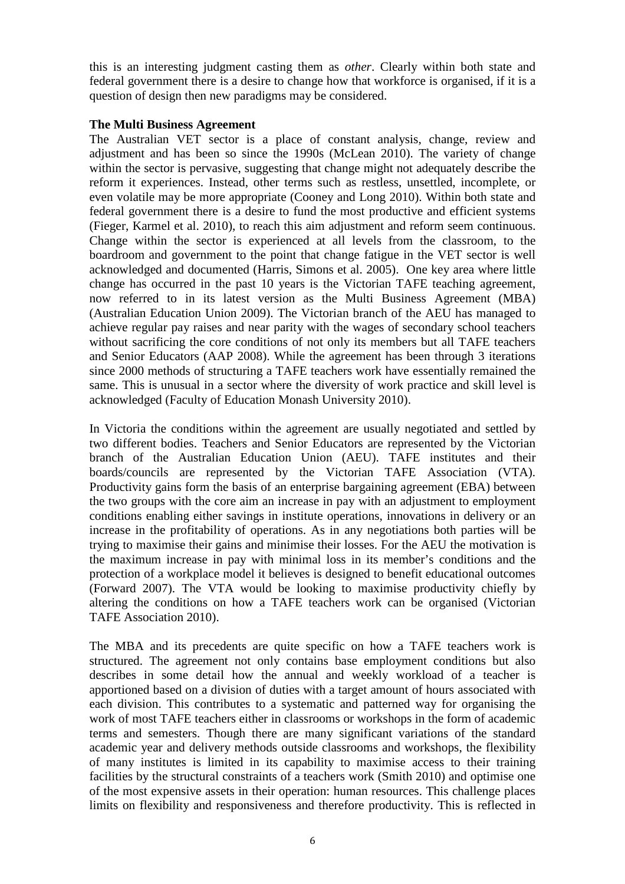this is an interesting judgment casting them as *other*. Clearly within both state and federal government there is a desire to change how that workforce is organised, if it is a question of design then new paradigms may be considered.

# **The Multi Business Agreement**

The Australian VET sector is a place of constant analysis, change, review and adjustment and has been so since the 1990s (McLean 2010). The variety of change within the sector is pervasive, suggesting that change might not adequately describe the reform it experiences. Instead, other terms such as restless, unsettled, incomplete, or even volatile may be more appropriate (Cooney and Long 2010). Within both state and federal government there is a desire to fund the most productive and efficient systems (Fieger, Karmel et al. 2010), to reach this aim adjustment and reform seem continuous. Change within the sector is experienced at all levels from the classroom, to the boardroom and government to the point that change fatigue in the VET sector is well acknowledged and documented (Harris, Simons et al. 2005). One key area where little change has occurred in the past 10 years is the Victorian TAFE teaching agreement, now referred to in its latest version as the Multi Business Agreement (MBA) (Australian Education Union 2009). The Victorian branch of the AEU has managed to achieve regular pay raises and near parity with the wages of secondary school teachers without sacrificing the core conditions of not only its members but all TAFE teachers and Senior Educators (AAP 2008). While the agreement has been through 3 iterations since 2000 methods of structuring a TAFE teachers work have essentially remained the same. This is unusual in a sector where the diversity of work practice and skill level is acknowledged (Faculty of Education Monash University 2010).

In Victoria the conditions within the agreement are usually negotiated and settled by two different bodies. Teachers and Senior Educators are represented by the Victorian branch of the Australian Education Union (AEU). TAFE institutes and their boards/councils are represented by the Victorian TAFE Association (VTA). Productivity gains form the basis of an enterprise bargaining agreement (EBA) between the two groups with the core aim an increase in pay with an adjustment to employment conditions enabling either savings in institute operations, innovations in delivery or an increase in the profitability of operations. As in any negotiations both parties will be trying to maximise their gains and minimise their losses. For the AEU the motivation is the maximum increase in pay with minimal loss in its member's conditions and the protection of a workplace model it believes is designed to benefit educational outcomes (Forward 2007). The VTA would be looking to maximise productivity chiefly by altering the conditions on how a TAFE teachers work can be organised (Victorian TAFE Association 2010).

The MBA and its precedents are quite specific on how a TAFE teachers work is structured. The agreement not only contains base employment conditions but also describes in some detail how the annual and weekly workload of a teacher is apportioned based on a division of duties with a target amount of hours associated with each division. This contributes to a systematic and patterned way for organising the work of most TAFE teachers either in classrooms or workshops in the form of academic terms and semesters. Though there are many significant variations of the standard academic year and delivery methods outside classrooms and workshops, the flexibility of many institutes is limited in its capability to maximise access to their training facilities by the structural constraints of a teachers work (Smith 2010) and optimise one of the most expensive assets in their operation: human resources. This challenge places limits on flexibility and responsiveness and therefore productivity. This is reflected in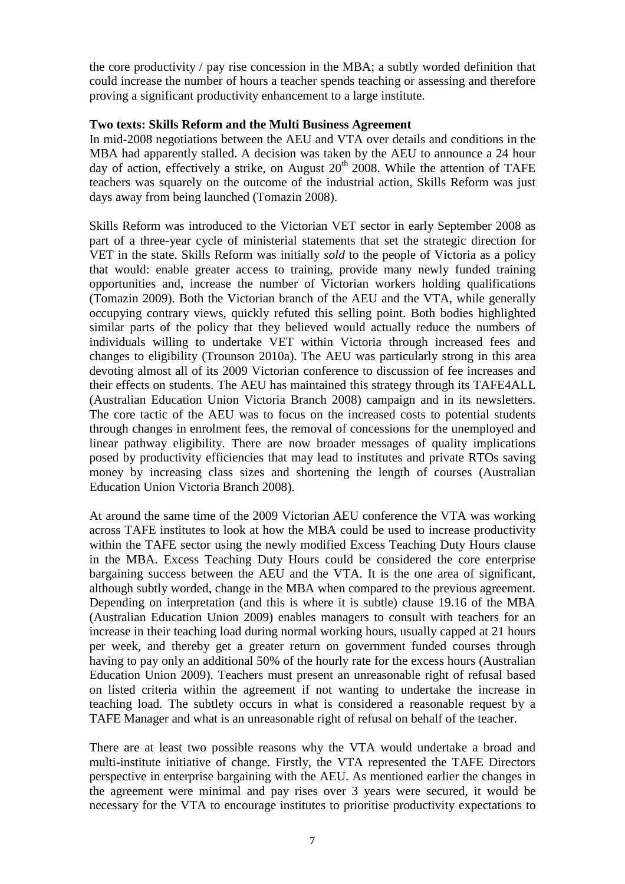the core productivity / pay rise concession in the MBA; a subtly worded definition that could increase the number of hours a teacher spends teaching or assessing and therefore proving a significant productivity enhancement to a large institute.

# **Two texts: Skills Reform and the Multi Business Agreement**

In mid-2008 negotiations between the AEU and VTA over details and conditions in the MBA had apparently stalled. A decision was taken by the AEU to announce a 24 hour day of action, effectively a strike, on August  $20<sup>th</sup>$  2008. While the attention of TAFE teachers was squarely on the outcome of the industrial action, Skills Reform was just days away from being launched (Tomazin 2008).

Skills Reform was introduced to the Victorian VET sector in early September 2008 as part of a three-year cycle of ministerial statements that set the strategic direction for VET in the state. Skills Reform was initially *sold* to the people of Victoria as a policy that would: enable greater access to training, provide many newly funded training opportunities and, increase the number of Victorian workers holding qualifications (Tomazin 2009). Both the Victorian branch of the AEU and the VTA, while generally occupying contrary views, quickly refuted this selling point. Both bodies highlighted similar parts of the policy that they believed would actually reduce the numbers of individuals willing to undertake VET within Victoria through increased fees and changes to eligibility (Trounson 2010a). The AEU was particularly strong in this area devoting almost all of its 2009 Victorian conference to discussion of fee increases and their effects on students. The AEU has maintained this strategy through its TAFE4ALL (Australian Education Union Victoria Branch 2008) campaign and in its newsletters. The core tactic of the AEU was to focus on the increased costs to potential students through changes in enrolment fees, the removal of concessions for the unemployed and linear pathway eligibility. There are now broader messages of quality implications posed by productivity efficiencies that may lead to institutes and private RTOs saving money by increasing class sizes and shortening the length of courses (Australian Education Union Victoria Branch 2008).

At around the same time of the 2009 Victorian AEU conference the VTA was working across TAFE institutes to look at how the MBA could be used to increase productivity within the TAFE sector using the newly modified Excess Teaching Duty Hours clause in the MBA. Excess Teaching Duty Hours could be considered the core enterprise bargaining success between the AEU and the VTA. It is the one area of significant, although subtly worded, change in the MBA when compared to the previous agreement. Depending on interpretation (and this is where it is subtle) clause 19.16 of the MBA (Australian Education Union 2009) enables managers to consult with teachers for an increase in their teaching load during normal working hours, usually capped at 21 hours per week, and thereby get a greater return on government funded courses through having to pay only an additional 50% of the hourly rate for the excess hours (Australian Education Union 2009). Teachers must present an unreasonable right of refusal based on listed criteria within the agreement if not wanting to undertake the increase in teaching load. The subtlety occurs in what is considered a reasonable request by a TAFE Manager and what is an unreasonable right of refusal on behalf of the teacher.

There are at least two possible reasons why the VTA would undertake a broad and multi-institute initiative of change. Firstly, the VTA represented the TAFE Directors perspective in enterprise bargaining with the AEU. As mentioned earlier the changes in the agreement were minimal and pay rises over 3 years were secured, it would be necessary for the VTA to encourage institutes to prioritise productivity expectations to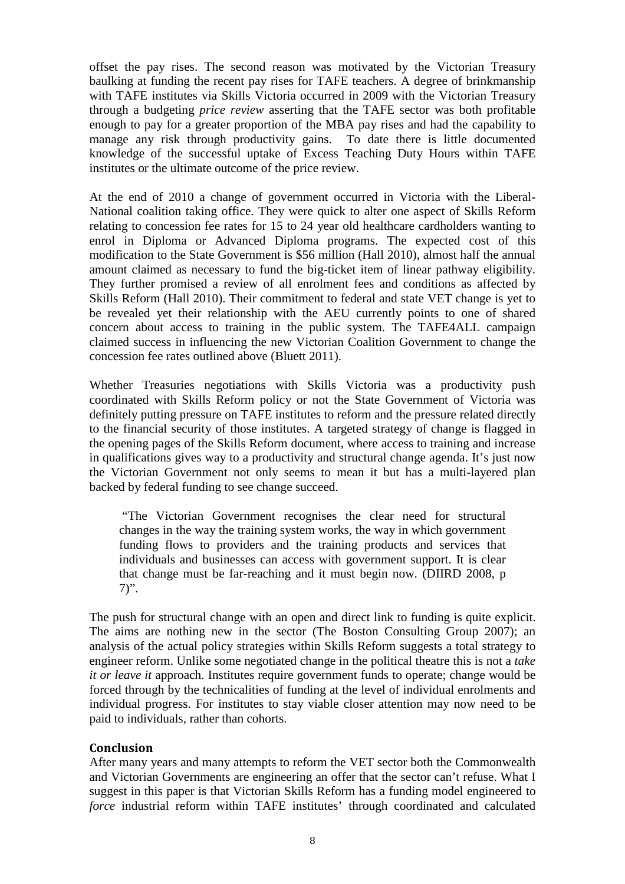offset the pay rises. The second reason was motivated by the Victorian Treasury baulking at funding the recent pay rises for TAFE teachers. A degree of brinkmanship with TAFE institutes via Skills Victoria occurred in 2009 with the Victorian Treasury through a budgeting *price review* asserting that the TAFE sector was both profitable enough to pay for a greater proportion of the MBA pay rises and had the capability to manage any risk through productivity gains. To date there is little documented knowledge of the successful uptake of Excess Teaching Duty Hours within TAFE institutes or the ultimate outcome of the price review.

At the end of 2010 a change of government occurred in Victoria with the Liberal-National coalition taking office. They were quick to alter one aspect of Skills Reform relating to concession fee rates for 15 to 24 year old healthcare cardholders wanting to enrol in Diploma or Advanced Diploma programs. The expected cost of this modification to the State Government is \$56 million (Hall 2010), almost half the annual amount claimed as necessary to fund the big-ticket item of linear pathway eligibility. They further promised a review of all enrolment fees and conditions as affected by Skills Reform (Hall 2010). Their commitment to federal and state VET change is yet to be revealed yet their relationship with the AEU currently points to one of shared concern about access to training in the public system. The TAFE4ALL campaign claimed success in influencing the new Victorian Coalition Government to change the concession fee rates outlined above (Bluett 2011).

Whether Treasuries negotiations with Skills Victoria was a productivity push coordinated with Skills Reform policy or not the State Government of Victoria was definitely putting pressure on TAFE institutes to reform and the pressure related directly to the financial security of those institutes. A targeted strategy of change is flagged in the opening pages of the Skills Reform document, where access to training and increase in qualifications gives way to a productivity and structural change agenda. It's just now the Victorian Government not only seems to mean it but has a multi-layered plan backed by federal funding to see change succeed.

 "The Victorian Government recognises the clear need for structural changes in the way the training system works, the way in which government funding flows to providers and the training products and services that individuals and businesses can access with government support. It is clear that change must be far-reaching and it must begin now. (DIIRD 2008, p  $7)$ ".

The push for structural change with an open and direct link to funding is quite explicit. The aims are nothing new in the sector (The Boston Consulting Group 2007); an analysis of the actual policy strategies within Skills Reform suggests a total strategy to engineer reform. Unlike some negotiated change in the political theatre this is not a *take it or leave it* approach. Institutes require government funds to operate; change would be forced through by the technicalities of funding at the level of individual enrolments and individual progress. For institutes to stay viable closer attention may now need to be paid to individuals, rather than cohorts.

# Conclusion

After many years and many attempts to reform the VET sector both the Commonwealth and Victorian Governments are engineering an offer that the sector can't refuse. What I suggest in this paper is that Victorian Skills Reform has a funding model engineered to *force* industrial reform within TAFE institutes' through coordinated and calculated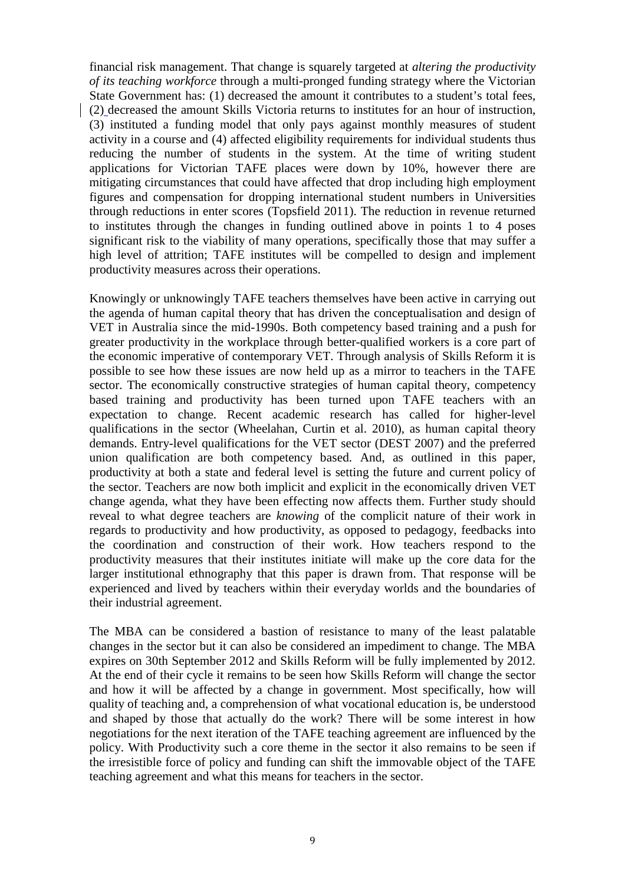financial risk management. That change is squarely targeted at *altering the productivity of its teaching workforce* through a multi-pronged funding strategy where the Victorian State Government has: (1) decreased the amount it contributes to a student's total fees, (2) decreased the amount Skills Victoria returns to institutes for an hour of instruction, (3) instituted a funding model that only pays against monthly measures of student activity in a course and (4) affected eligibility requirements for individual students thus reducing the number of students in the system. At the time of writing student applications for Victorian TAFE places were down by 10%, however there are mitigating circumstances that could have affected that drop including high employment figures and compensation for dropping international student numbers in Universities through reductions in enter scores (Topsfield 2011). The reduction in revenue returned to institutes through the changes in funding outlined above in points 1 to 4 poses significant risk to the viability of many operations, specifically those that may suffer a high level of attrition; TAFE institutes will be compelled to design and implement productivity measures across their operations.

Knowingly or unknowingly TAFE teachers themselves have been active in carrying out the agenda of human capital theory that has driven the conceptualisation and design of VET in Australia since the mid-1990s. Both competency based training and a push for greater productivity in the workplace through better-qualified workers is a core part of the economic imperative of contemporary VET. Through analysis of Skills Reform it is possible to see how these issues are now held up as a mirror to teachers in the TAFE sector. The economically constructive strategies of human capital theory, competency based training and productivity has been turned upon TAFE teachers with an expectation to change. Recent academic research has called for higher-level qualifications in the sector (Wheelahan, Curtin et al. 2010), as human capital theory demands. Entry-level qualifications for the VET sector (DEST 2007) and the preferred union qualification are both competency based. And, as outlined in this paper, productivity at both a state and federal level is setting the future and current policy of the sector. Teachers are now both implicit and explicit in the economically driven VET change agenda, what they have been effecting now affects them. Further study should reveal to what degree teachers are *knowing* of the complicit nature of their work in regards to productivity and how productivity, as opposed to pedagogy, feedbacks into the coordination and construction of their work. How teachers respond to the productivity measures that their institutes initiate will make up the core data for the larger institutional ethnography that this paper is drawn from. That response will be experienced and lived by teachers within their everyday worlds and the boundaries of their industrial agreement.

The MBA can be considered a bastion of resistance to many of the least palatable changes in the sector but it can also be considered an impediment to change. The MBA expires on 30th September 2012 and Skills Reform will be fully implemented by 2012. At the end of their cycle it remains to be seen how Skills Reform will change the sector and how it will be affected by a change in government. Most specifically, how will quality of teaching and, a comprehension of what vocational education is, be understood and shaped by those that actually do the work? There will be some interest in how negotiations for the next iteration of the TAFE teaching agreement are influenced by the policy. With Productivity such a core theme in the sector it also remains to be seen if the irresistible force of policy and funding can shift the immovable object of the TAFE teaching agreement and what this means for teachers in the sector.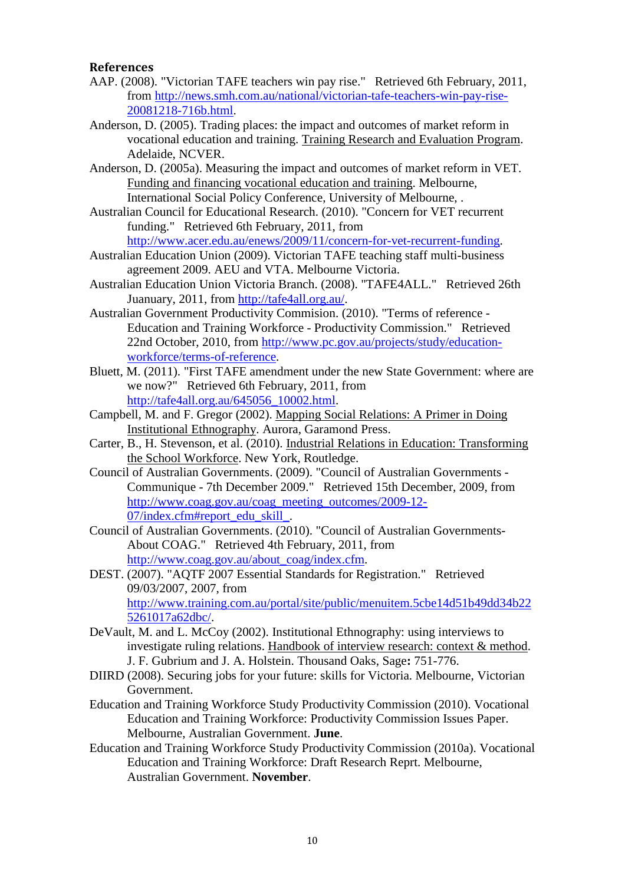# References

- AAP. (2008). "Victorian TAFE teachers win pay rise." Retrieved 6th February, 2011, from http://news.smh.com.au/national/victorian-tafe-teachers-win-pay-rise-20081218-716b.html.
- Anderson, D. (2005). Trading places: the impact and outcomes of market reform in vocational education and training. Training Research and Evaluation Program. Adelaide, NCVER.
- Anderson, D. (2005a). Measuring the impact and outcomes of market reform in VET. Funding and financing vocational education and training. Melbourne, International Social Policy Conference, University of Melbourne, .
- Australian Council for Educational Research. (2010). "Concern for VET recurrent funding." Retrieved 6th February, 2011, from http://www.acer.edu.au/enews/2009/11/concern-for-vet-recurrent-funding.
- Australian Education Union (2009). Victorian TAFE teaching staff multi-business agreement 2009. AEU and VTA. Melbourne Victoria.
- Australian Education Union Victoria Branch. (2008). "TAFE4ALL." Retrieved 26th Juanuary, 2011, from http://tafe4all.org.au/.
- Australian Government Productivity Commision. (2010). "Terms of reference Education and Training Workforce - Productivity Commission." Retrieved 22nd October, 2010, from http://www.pc.gov.au/projects/study/educationworkforce/terms-of-reference.
- Bluett, M. (2011). "First TAFE amendment under the new State Government: where are we now?" Retrieved 6th February, 2011, from http://tafe4all.org.au/645056\_10002.html.
- Campbell, M. and F. Gregor (2002). Mapping Social Relations: A Primer in Doing Institutional Ethnography. Aurora, Garamond Press.
- Carter, B., H. Stevenson, et al. (2010). Industrial Relations in Education: Transforming the School Workforce. New York, Routledge.
- Council of Australian Governments. (2009). "Council of Australian Governments Communique - 7th December 2009." Retrieved 15th December, 2009, from http://www.coag.gov.au/coag\_meeting\_outcomes/2009-12- 07/index.cfm#report\_edu\_skill\_.
- Council of Australian Governments. (2010). "Council of Australian Governments-About COAG." Retrieved 4th February, 2011, from http://www.coag.gov.au/about\_coag/index.cfm.
- DEST. (2007). "AQTF 2007 Essential Standards for Registration." Retrieved 09/03/2007, 2007, from http://www.training.com.au/portal/site/public/menuitem.5cbe14d51b49dd34b22 5261017a62dbc/.
- DeVault, M. and L. McCoy (2002). Institutional Ethnography: using interviews to investigate ruling relations. Handbook of interview research: context & method. J. F. Gubrium and J. A. Holstein. Thousand Oaks, Sage**:** 751-776.
- DIIRD (2008). Securing jobs for your future: skills for Victoria. Melbourne, Victorian Government.
- Education and Training Workforce Study Productivity Commission (2010). Vocational Education and Training Workforce: Productivity Commission Issues Paper. Melbourne, Australian Government. **June**.
- Education and Training Workforce Study Productivity Commission (2010a). Vocational Education and Training Workforce: Draft Research Reprt. Melbourne, Australian Government. **November**.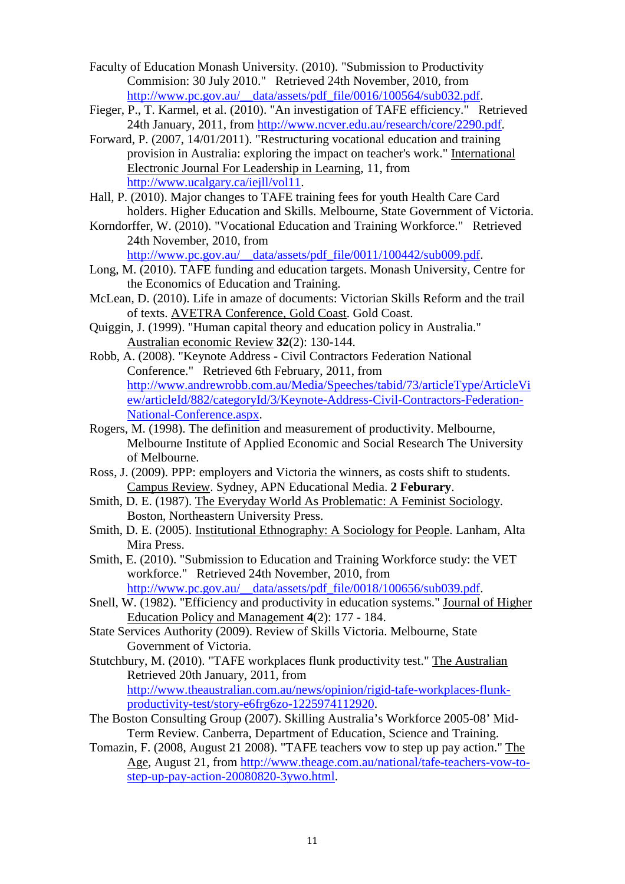- Faculty of Education Monash University. (2010). "Submission to Productivity Commision: 30 July 2010." Retrieved 24th November, 2010, from http://www.pc.gov.au/\_\_data/assets/pdf\_file/0016/100564/sub032.pdf.
- Fieger, P., T. Karmel, et al. (2010). "An investigation of TAFE efficiency." Retrieved 24th January, 2011, from http://www.ncver.edu.au/research/core/2290.pdf.
- Forward, P. (2007, 14/01/2011). "Restructuring vocational education and training provision in Australia: exploring the impact on teacher's work." International Electronic Journal For Leadership in Learning, 11, from http://www.ucalgary.ca/iejll/vol11.
- Hall, P. (2010). Major changes to TAFE training fees for youth Health Care Card holders. Higher Education and Skills. Melbourne, State Government of Victoria.
- Korndorffer, W. (2010). "Vocational Education and Training Workforce." Retrieved 24th November, 2010, from http://www.pc.gov.au/\_\_data/assets/pdf\_file/0011/100442/sub009.pdf.
- Long, M. (2010). TAFE funding and education targets. Monash University, Centre for the Economics of Education and Training.
- McLean, D. (2010). Life in amaze of documents: Victorian Skills Reform and the trail of texts. AVETRA Conference, Gold Coast. Gold Coast.
- Quiggin, J. (1999). "Human capital theory and education policy in Australia." Australian economic Review **32**(2): 130-144.
- Robb, A. (2008). "Keynote Address Civil Contractors Federation National Conference." Retrieved 6th February, 2011, from http://www.andrewrobb.com.au/Media/Speeches/tabid/73/articleType/ArticleVi ew/articleId/882/categoryId/3/Keynote-Address-Civil-Contractors-Federation-National-Conference.aspx.
- Rogers, M. (1998). The definition and measurement of productivity. Melbourne, Melbourne Institute of Applied Economic and Social Research The University of Melbourne.
- Ross, J. (2009). PPP: employers and Victoria the winners, as costs shift to students. Campus Review. Sydney, APN Educational Media. **2 Feburary**.
- Smith, D. E. (1987). The Everyday World As Problematic: A Feminist Sociology. Boston, Northeastern University Press.
- Smith, D. E. (2005). Institutional Ethnography: A Sociology for People. Lanham, Alta Mira Press.
- Smith, E. (2010). "Submission to Education and Training Workforce study: the VET workforce." Retrieved 24th November, 2010, from http://www.pc.gov.au/\_\_data/assets/pdf\_file/0018/100656/sub039.pdf.
- Snell, W. (1982). "Efficiency and productivity in education systems." Journal of Higher Education Policy and Management **4**(2): 177 - 184.
- State Services Authority (2009). Review of Skills Victoria. Melbourne, State Government of Victoria.
- Stutchbury, M. (2010). "TAFE workplaces flunk productivity test." The Australian Retrieved 20th January, 2011, from http://www.theaustralian.com.au/news/opinion/rigid-tafe-workplaces-flunkproductivity-test/story-e6frg6zo-1225974112920.
- The Boston Consulting Group (2007). Skilling Australia's Workforce 2005-08' Mid-Term Review. Canberra, Department of Education, Science and Training.
- Tomazin, F. (2008, August 21 2008). "TAFE teachers vow to step up pay action." The Age, August 21, from http://www.theage.com.au/national/tafe-teachers-vow-tostep-up-pay-action-20080820-3ywo.html.